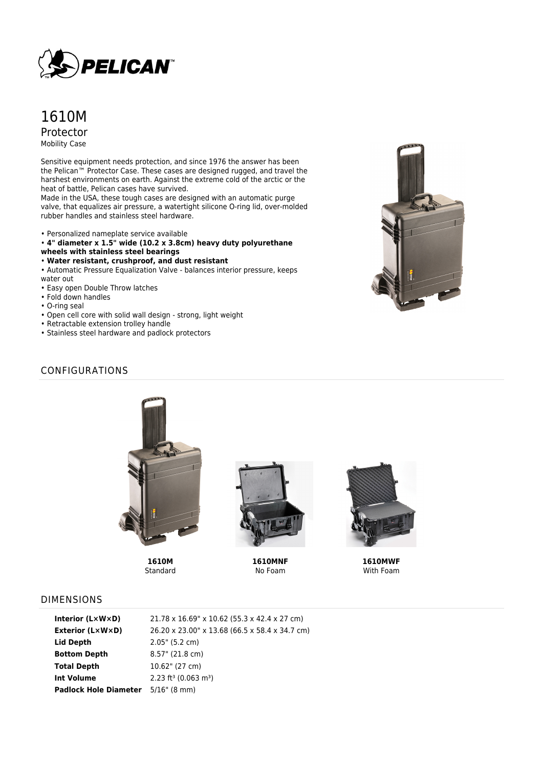

# 1610M Protector Mobility Case

Sensitive equipment needs protection, and since 1976 the answer has been the Pelican™ Protector Case. These cases are designed rugged, and travel the harshest environments on earth. Against the extreme cold of the arctic or the heat of battle, Pelican cases have survived.

Made in the USA, these tough cases are designed with an automatic purge valve, that equalizes air pressure, a watertight silicone O-ring lid, over-molded rubber handles and stainless steel hardware.

- Personalized nameplate service available
- **4" diameter x 1.5" wide (10.2 x 3.8cm) heavy duty polyurethane**
- **wheels with stainless steel bearings**
- **Water resistant, crushproof, and dust resistant**

• Automatic Pressure Equalization Valve - balances interior pressure, keeps water out

- Easy open Double Throw latches
- Fold down handles
- O-ring seal
- Open cell core with solid wall design strong, light weight
- Retractable extension trolley handle
- Stainless steel hardware and padlock protectors



### CONFIGURATIONS



**1610M Standard** 



**1610MNF** No Foam



**1610MWF** With Foam

#### DIMENSIONS

| Interior $(L \times W \times D)$ | 21.78 x 16.69" x 10.62 (55.3 x 42.4 x 27 cm)   |
|----------------------------------|------------------------------------------------|
| <b>Exterior (L×W×D)</b>          | 26.20 x 23.00" x 13.68 (66.5 x 58.4 x 34.7 cm) |
| Lid Depth                        | 2.05" (5.2 cm)                                 |
| <b>Bottom Depth</b>              | 8.57" (21.8 cm)                                |
| <b>Total Depth</b>               | $10.62$ " (27 cm)                              |
| <b>Int Volume</b>                | $2.23$ ft <sup>3</sup> (0.063 m <sup>3</sup> ) |
| <b>Padlock Hole Diameter</b>     | $5/16$ " (8 mm)                                |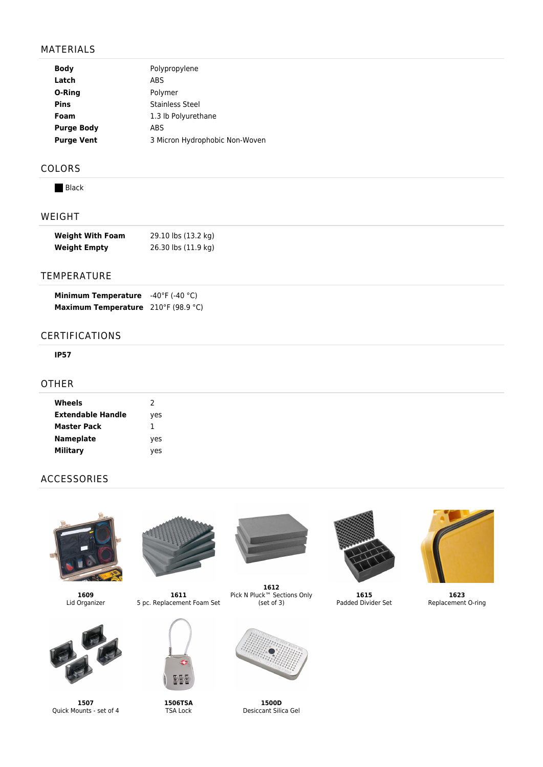## MATERIALS

| <b>Body</b>       | Polypropylene                  |
|-------------------|--------------------------------|
| Latch             | <b>ABS</b>                     |
| O-Ring            | Polymer                        |
| <b>Pins</b>       | Stainless Steel                |
| Foam              | 1.3 lb Polyurethane            |
| <b>Purge Body</b> | ABS                            |
| <b>Purge Vent</b> | 3 Micron Hydrophobic Non-Woven |
|                   |                                |

## COLORS

**Black** 

## WEIGHT

| <b>Weight With Foam</b> | 29.10 lbs (13.2 kg) |
|-------------------------|---------------------|
| <b>Weight Empty</b>     | 26.30 lbs (11.9 kg) |

### TEMPERATURE

| <b>Minimum Temperature</b>          | $-40^{\circ}$ F (-40 $^{\circ}$ C) |
|-------------------------------------|------------------------------------|
| Maximum Temperature 210°F (98.9 °C) |                                    |

### CERTIFICATIONS

#### **IP57**

#### OTHER

| Wheels             | 2   |
|--------------------|-----|
| Extendable Handle  | yes |
| <b>Master Pack</b> | 1   |
| <b>Nameplate</b>   | yes |
| Military           | ves |

## ACCESSORIES



**1609** Lid Organizer



**1507** Quick Mounts - set of 4



**1611** 5 pc. Replacement Foam Set



**1506TSA** TSA Lock



**1612** Pick N Pluck™ Sections Only (set of 3)



**1500D** Desiccant Silica Gel



**1615** Padded Divider Set



**1623** Replacement O-ring